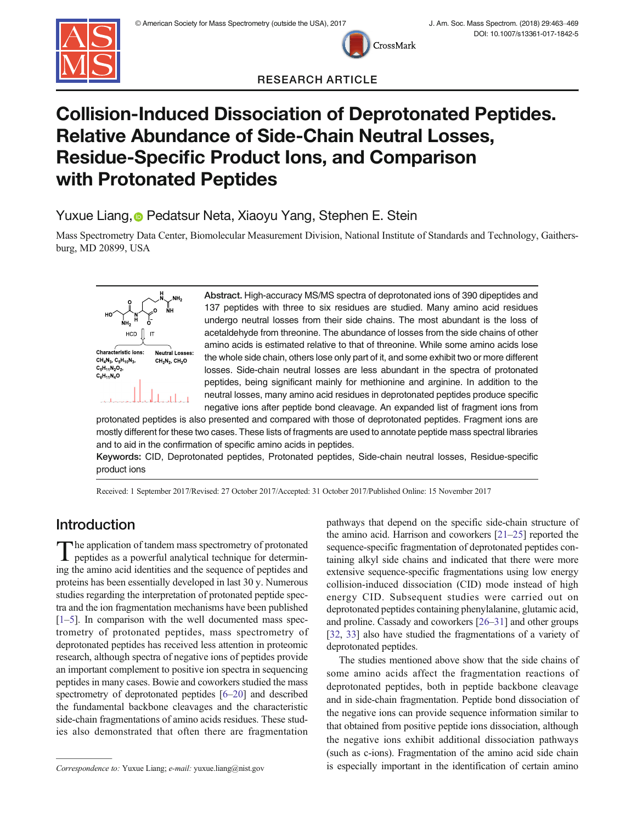



RESEARCH ARTICLE

# Collision-Induced Dissociation of Deprotonated Peptides. Relative Abundance of Side-Chain Neutral Losses, Residue-Specific Product Ions, and Comparison with Protonated Peptides

Yuxue Liang, **Pedatsur Neta, Xiaovu Yang, Stephen E. Stein** 

Mass Spectrometry Data Center, Biomolecular Measurement Division, National Institute of Standards and Technology, Gaithersburg, MD 20899, USA



Abstract. High-accuracy MS/MS spectra of deprotonated ions of 390 dipeptides and 137 peptides with three to six residues are studied. Many amino acid residues undergo neutral losses from their side chains. The most abundant is the loss of acetaldehyde from threonine. The abundance of losses from the side chains of other amino acids is estimated relative to that of threonine. While some amino acids lose the whole side chain, others lose only part of it, and some exhibit two or more different losses. Side-chain neutral losses are less abundant in the spectra of protonated peptides, being significant mainly for methionine and arginine. In addition to the neutral losses, many amino acid residues in deprotonated peptides produce specific negative ions after peptide bond cleavage. An expanded list of fragment ions from

CrossMark

protonated peptides is also presented and compared with those of deprotonated peptides. Fragment ions are mostly different for these two cases. These lists of fragments are used to annotate peptide mass spectral libraries and to aid in the confirmation of specific amino acids in peptides.

Keywords: CID, Deprotonated peptides, Protonated peptides, Side-chain neutral losses, Residue-specific product ions

Received: 1 September 2017/Revised: 27 October 2017/Accepted: 31 October 2017/Published Online: 15 November 2017

## Introduction

The application of tandem mass spectrometry of protonated peptides as a powerful analytical technique for determining the amino acid identities and the sequence of peptides and proteins has been essentially developed in last 30 y. Numerous studies regarding the interpretation of protonated peptide spectra and the ion fragmentation mechanisms have been published [\[1](#page-6-0)–[5\]](#page-6-0). In comparison with the well documented mass spectrometry of protonated peptides, mass spectrometry of deprotonated peptides has received less attention in proteomic research, although spectra of negative ions of peptides provide an important complement to positive ion spectra in sequencing peptides in many cases. Bowie and coworkers studied the mass spectrometry of deprotonated peptides [\[6](#page-6-0)–[20\]](#page-6-0) and described the fundamental backbone cleavages and the characteristic side-chain fragmentations of amino acids residues. These studies also demonstrated that often there are fragmentation

pathways that depend on the specific side-chain structure of the amino acid. Harrison and coworkers [\[21](#page-6-0)–[25\]](#page-6-0) reported the sequence-specific fragmentation of deprotonated peptides containing alkyl side chains and indicated that there were more extensive sequence-specific fragmentations using low energy collision-induced dissociation (CID) mode instead of high energy CID. Subsequent studies were carried out on deprotonated peptides containing phenylalanine, glutamic acid, and proline. Cassady and coworkers [\[26](#page-6-0)–[31\]](#page-6-0) and other groups [[32,](#page-6-0) [33](#page-6-0)] also have studied the fragmentations of a variety of deprotonated peptides.

The studies mentioned above show that the side chains of some amino acids affect the fragmentation reactions of deprotonated peptides, both in peptide backbone cleavage and in side-chain fragmentation. Peptide bond dissociation of the negative ions can provide sequence information similar to that obtained from positive peptide ions dissociation, although the negative ions exhibit additional dissociation pathways (such as c-ions). Fragmentation of the amino acid side chain Correspondence to: Yuxue Liang; e-mail: yuxue.liang@nist.gov is especially important in the identification of certain amino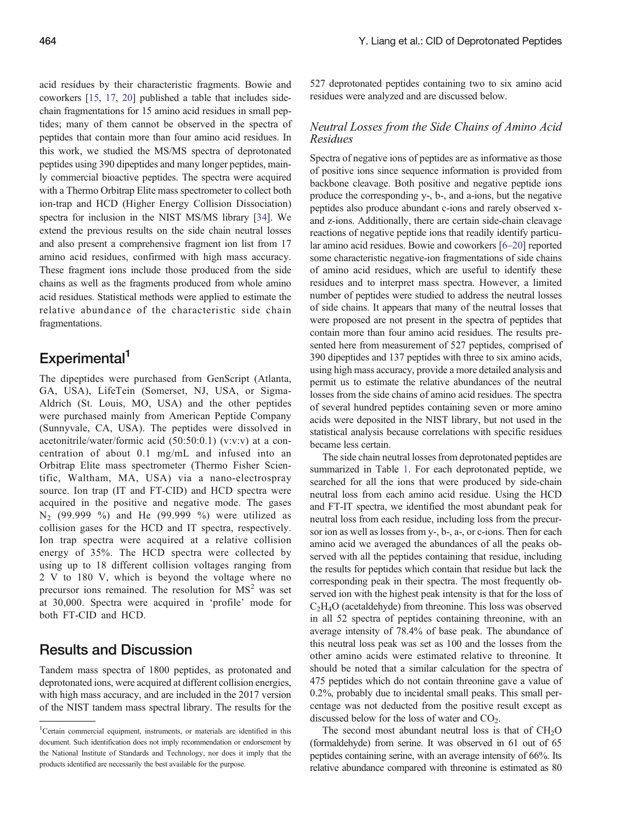acid residues by their characteristic fragments. Bowie and coworkers [\[15](#page-6-0), [17](#page-6-0), [20](#page-6-0)] published a table that includes sidechain fragmentations for 15 amino acid residues in small peptides; many of them cannot be observed in the spectra of peptides that contain more than four amino acid residues. In this work, we studied the MS/MS spectra of deprotonated peptides using 390 dipeptides and many longer peptides, mainly commercial bioactive peptides. The spectra were acquired with a Thermo Orbitrap Elite mass spectrometer to collect both ion-trap and HCD (Higher Energy Collision Dissociation) spectra for inclusion in the NIST MS/MS library [[34](#page-6-0)]. We extend the previous results on the side chain neutral losses and also present a comprehensive fragment ion list from 17 amino acid residues, confirmed with high mass accuracy. These fragment ions include those produced from the side chains as well as the fragments produced from whole amino acid residues. Statistical methods were applied to estimate the relative abundance of the characteristic side chain fragmentations.

## $Experimental<sup>1</sup>$

The dipeptides were purchased from GenScript (Atlanta, GA, USA), LifeTein (Somerset, NJ, USA, or Sigma-Aldrich (St. Louis, MO, USA) and the other peptides were purchased mainly from American Peptide Company (Sunnyvale, CA, USA). The peptides were dissolved in acetonitrile/water/formic acid (50:50:0.1) (v:v:v) at a concentration of about 0.1 mg/mL and infused into an Orbitrap Elite mass spectrometer (Thermo Fisher Scientific, Waltham, MA, USA) via a nano-electrospray source. Ion trap (IT and FT-CID) and HCD spectra were acquired in the positive and negative mode. The gases  $N_2$  (99.999 %) and He (99.999 %) were utilized as collision gases for the HCD and IT spectra, respectively. Ion trap spectra were acquired at a relative collision energy of 35%. The HCD spectra were collected by using up to 18 different collision voltages ranging from 2 V to 180 V, which is beyond the voltage where no precursor ions remained. The resolution for  $MS<sup>2</sup>$  was set at 30,000. Spectra were acquired in 'profile' mode for both FT-CID and HCD.

## Results and Discussion

Tandem mass spectra of 1800 peptides, as protonated and deprotonated ions, were acquired at different collision energies, with high mass accuracy, and are included in the 2017 version of the NIST tandem mass spectral library. The results for the

527 deprotonated peptides containing two to six amino acid residues were analyzed and are discussed below.

#### Neutral Losses from the Side Chains of Amino Acid Residues

Spectra of negative ions of peptides are as informative as those of positive ions since sequence information is provided from backbone cleavage. Both positive and negative peptide ions produce the corresponding y-, b-, and a-ions, but the negative peptides also produce abundant c-ions and rarely observed xand z-ions. Additionally, there are certain side-chain cleavage reactions of negative peptide ions that readily identify particular amino acid residues. Bowie and coworkers [[6](#page-6-0)–[20](#page-6-0)] reported some characteristic negative-ion fragmentations of side chains of amino acid residues, which are useful to identify these residues and to interpret mass spectra. However, a limited number of peptides were studied to address the neutral losses of side chains. It appears that many of the neutral losses that were proposed are not present in the spectra of peptides that contain more than four amino acid residues. The results presented here from measurement of 527 peptides, comprised of 390 dipeptides and 137 peptides with three to six amino acids, using high mass accuracy, provide a more detailed analysis and permit us to estimate the relative abundances of the neutral losses from the side chains of amino acid residues. The spectra of several hundred peptides containing seven or more amino acids were deposited in the NIST library, but not used in the statistical analysis because correlations with specific residues became less certain.

The side chain neutral losses from deprotonated peptides are summarized in Table [1](#page-2-0). For each deprotonated peptide, we searched for all the ions that were produced by side-chain neutral loss from each amino acid residue. Using the HCD and FT-IT spectra, we identified the most abundant peak for neutral loss from each residue, including loss from the precursor ion as well as losses from y-, b-, a-, or c-ions. Then for each amino acid we averaged the abundances of all the peaks observed with all the peptides containing that residue, including the results for peptides which contain that residue but lack the corresponding peak in their spectra. The most frequently observed ion with the highest peak intensity is that for the loss of  $C<sub>2</sub>H<sub>4</sub>O$  (acetaldehyde) from threonine. This loss was observed in all 52 spectra of peptides containing threonine, with an average intensity of 78.4% of base peak. The abundance of this neutral loss peak was set as 100 and the losses from the other amino acids were estimated relative to threonine. It should be noted that a similar calculation for the spectra of 475 peptides which do not contain threonine gave a value of 0.2%, probably due to incidental small peaks. This small percentage was not deducted from the positive result except as discussed below for the loss of water and  $CO<sub>2</sub>$ .

The second most abundant neutral loss is that of  $CH<sub>2</sub>O$ (formaldehyde) from serine. It was observed in 61 out of 65 peptides containing serine, with an average intensity of 66%. Its relative abundance compared with threonine is estimated as 80

<sup>&</sup>lt;sup>1</sup>Certain commercial equipment, instruments, or materials are identified in this document. Such identification does not imply recommendation or endorsement by the National Institute of Standards and Technology, nor does it imply that the products identified are necessarily the best available for the purpose.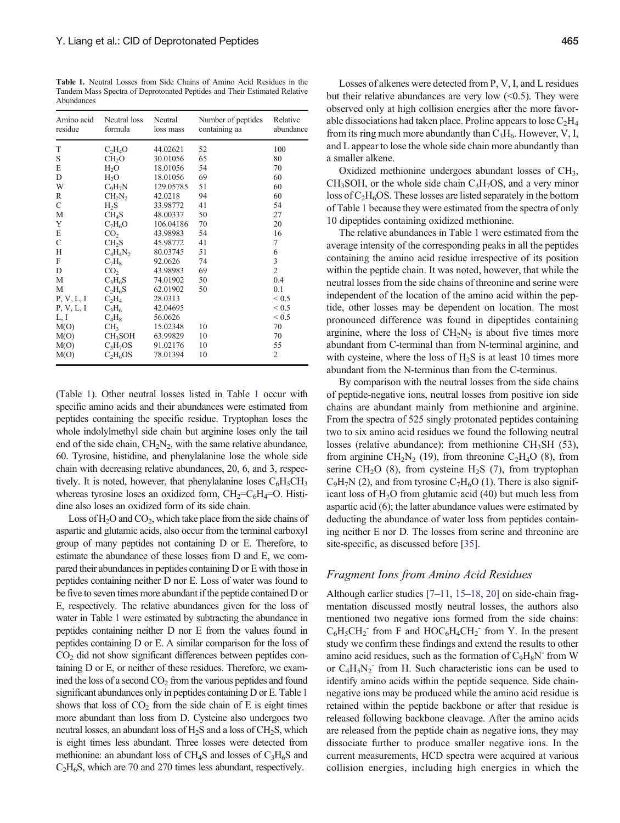<span id="page-2-0"></span>Table 1. Neutral Losses from Side Chains of Amino Acid Residues in the Tandem Mass Spectra of Deprotonated Peptides and Their Estimated Relative Abundances

| Amino acid<br>residue | Neutral loss<br>formula        | Neutral<br>loss mass | Number of peptides<br>containing aa | Relative<br>abundance |
|-----------------------|--------------------------------|----------------------|-------------------------------------|-----------------------|
| T                     | $C_2H_4O$                      | 44.02621             | 52                                  | 100                   |
| S                     | CH <sub>2</sub> O              | 30.01056             | 65                                  | 80                    |
| E                     | $H_2O$                         | 18.01056             | 54                                  | 70                    |
| D                     | H <sub>2</sub> O               | 18.01056             | 69                                  | 60                    |
| W                     | $C_9H_7N$                      | 129.05785            | 51                                  | 60                    |
| R                     | CH <sub>2</sub> N <sub>2</sub> | 42.0218              | 94                                  | 60                    |
| $\mathcal{C}$         | H <sub>2</sub> S               | 33.98772             | 41                                  | 54                    |
| М                     | $CH_4S$                        | 48.00337             | 50                                  | 27                    |
| Y                     | $C_7H_6O$                      | 106.04186            | 70                                  | 20                    |
| E                     | CO <sub>2</sub>                | 43.98983             | 54                                  | 16                    |
| $\mathsf{C}$          | CH <sub>2</sub> S              | 45.98772             | 41                                  | 7                     |
| Н                     | $C_4H_4N_2$                    | 80.03745             | 51                                  | 6                     |
| F                     | $C_7H_8$                       | 92.0626              | 74                                  | 3                     |
| D                     | CO <sub>2</sub>                | 43.98983             | 69                                  | $\overline{c}$        |
| M                     | $C_3H_6S$                      | 74.01902             | 50                                  | 0.4                   |
| М                     | $C_2H_6S$                      | 62.01902             | 50                                  | 0.1                   |
| P, V, L, I            | $C_2H_4$                       | 28.0313              |                                     | $\leq 0.5$            |
| P, V, L, I            | $C_3H_6$                       | 42.04695             |                                     | ${}_{0.5}$            |
| L, I                  | $C_4H_8$                       | 56.0626              |                                     | ${}_{\leq 0.5}$       |
| M(O)                  | CH <sub>3</sub>                | 15.02348             | 10                                  | 70                    |
| M(O)                  | CH <sub>3</sub> SOH            | 63.99829             | 10                                  | 70                    |
| M(O)                  | $C_3H_7OS$                     | 91.02176             | 10                                  | 55                    |
| M(O)                  | $C_2H_6OS$                     | 78.01394             | 10                                  | $\overline{c}$        |

(Table 1). Other neutral losses listed in Table 1 occur with specific amino acids and their abundances were estimated from peptides containing the specific residue. Tryptophan loses the whole indolylmethyl side chain but arginine loses only the tail end of the side chain,  $CH<sub>2</sub>N<sub>2</sub>$ , with the same relative abundance, 60. Tyrosine, histidine, and phenylalanine lose the whole side chain with decreasing relative abundances, 20, 6, and 3, respectively. It is noted, however, that phenylalanine loses  $C_6H_5CH_3$ whereas tyrosine loses an oxidized form,  $CH_2 = C_6H_4 = O$ . Histidine also loses an oxidized form of its side chain.

Loss of  $H_2O$  and  $CO_2$ , which take place from the side chains of aspartic and glutamic acids, also occur from the terminal carboxyl group of many peptides not containing D or E. Therefore, to estimate the abundance of these losses from D and E, we compared their abundances in peptides containing D or E with those in peptides containing neither D nor E. Loss of water was found to be five to seven times more abundant if the peptide contained D or E, respectively. The relative abundances given for the loss of water in Table 1 were estimated by subtracting the abundance in peptides containing neither D nor E from the values found in peptides containing D or E. A similar comparison for the loss of  $CO<sub>2</sub>$  did not show significant differences between peptides containing D or E, or neither of these residues. Therefore, we examined the loss of a second  $CO<sub>2</sub>$  from the various peptides and found significant abundances only in peptides containing D or E. Table 1 shows that loss of  $CO<sub>2</sub>$  from the side chain of E is eight times more abundant than loss from D. Cysteine also undergoes two neutral losses, an abundant loss of  $H_2S$  and a loss of  $CH_2S$ , which is eight times less abundant. Three losses were detected from methionine: an abundant loss of  $CH_4S$  and losses of  $C_3H_6S$  and  $C_2H_6S$ , which are 70 and 270 times less abundant, respectively.

Losses of alkenes were detected from P, V, I, and L residues but their relative abundances are very low  $(< 0.5$ ). They were observed only at high collision energies after the more favorable dissociations had taken place. Proline appears to lose  $C_2H_4$ from its ring much more abundantly than  $C_3H_6$ . However, V, I, and L appear to lose the whole side chain more abundantly than a smaller alkene.

Oxidized methionine undergoes abundant losses of CH<sub>3</sub>,  $CH<sub>3</sub>SOH$ , or the whole side chain  $C<sub>3</sub>H<sub>7</sub>OS$ , and a very minor loss of  $C_2H_6OS$ . These losses are listed separately in the bottom of Table 1 because they were estimated from the spectra of only 10 dipeptides containing oxidized methionine.

The relative abundances in Table 1 were estimated from the average intensity of the corresponding peaks in all the peptides containing the amino acid residue irrespective of its position within the peptide chain. It was noted, however, that while the neutral losses from the side chains of threonine and serine were independent of the location of the amino acid within the peptide, other losses may be dependent on location. The most pronounced difference was found in dipeptides containing arginine, where the loss of  $CH<sub>2</sub>N<sub>2</sub>$  is about five times more abundant from C-terminal than from N-terminal arginine, and with cysteine, where the loss of  $H_2S$  is at least 10 times more abundant from the N-terminus than from the C-terminus.

By comparison with the neutral losses from the side chains of peptide-negative ions, neutral losses from positive ion side chains are abundant mainly from methionine and arginine. From the spectra of 525 singly protonated peptides containing two to six amino acid residues we found the following neutral losses (relative abundance): from methionine CH<sub>3</sub>SH (53), from arginine  $\text{CH}_2\text{N}_2$  (19), from threonine C<sub>2</sub>H<sub>4</sub>O (8), from serine CH<sub>2</sub>O (8), from cysteine H<sub>2</sub>S (7), from tryptophan  $C_9H_7N$  (2), and from tyrosine  $C_7H_6O$  (1). There is also significant loss of  $H_2O$  from glutamic acid (40) but much less from aspartic acid (6); the latter abundance values were estimated by deducting the abundance of water loss from peptides containing neither E nor D. The losses from serine and threonine are site-specific, as discussed before [[35\]](#page-6-0).

#### Fragment Ions from Amino Acid Residues

Although earlier studies [[7](#page-6-0)–[11](#page-6-0), [15](#page-6-0)–[18,](#page-6-0) [20\]](#page-6-0) on side-chain fragmentation discussed mostly neutral losses, the authors also mentioned two negative ions formed from the side chains:  $C_6H_5CH_2$ <sup>-</sup> from F and  $HOC_6H_4CH_2$ <sup>-</sup> from Y. In the present study we confirm these findings and extend the results to other amino acid residues, such as the formation of  $C_9H_8N^-$  from W or C<sub>4</sub>H<sub>5</sub>N<sub>2</sub><sup>-</sup> from H. Such characteristic ions can be used to identify amino acids within the peptide sequence. Side chainnegative ions may be produced while the amino acid residue is retained within the peptide backbone or after that residue is released following backbone cleavage. After the amino acids are released from the peptide chain as negative ions, they may dissociate further to produce smaller negative ions. In the current measurements, HCD spectra were acquired at various collision energies, including high energies in which the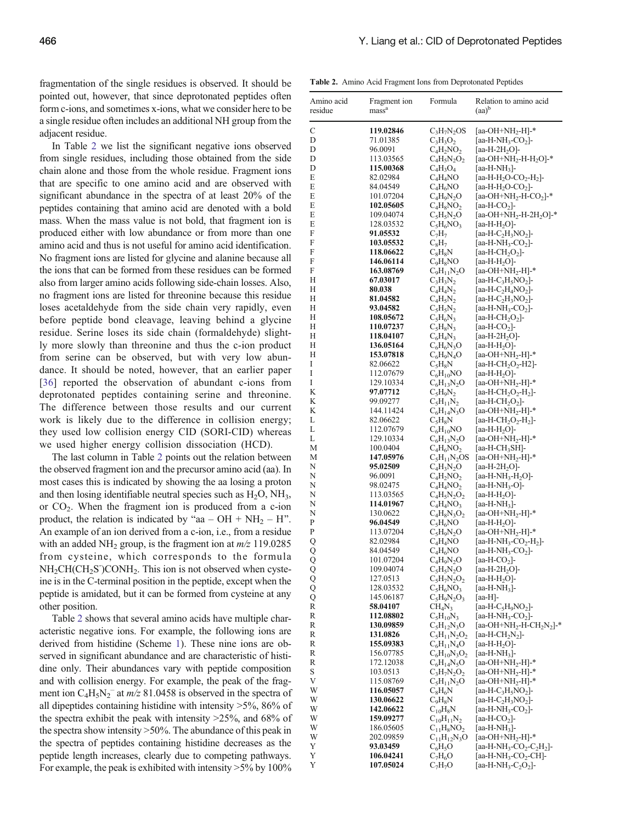<span id="page-3-0"></span>fragmentation of the single residues is observed. It should be pointed out, however, that since deprotonated peptides often form c-ions, and sometimes x-ions, what we consider here to be a single residue often includes an additional NH group from the adjacent residue.

In Table 2 we list the significant negative ions observed from single residues, including those obtained from the side chain alone and those from the whole residue. Fragment ions that are specific to one amino acid and are observed with significant abundance in the spectra of at least 20% of the peptides containing that amino acid are denoted with a bold mass. When the mass value is not bold, that fragment ion is produced either with low abundance or from more than one amino acid and thus is not useful for amino acid identification. No fragment ions are listed for glycine and alanine because all the ions that can be formed from these residues can be formed also from larger amino acids following side-chain losses. Also, no fragment ions are listed for threonine because this residue loses acetaldehyde from the side chain very rapidly, even before peptide bond cleavage, leaving behind a glycine residue. Serine loses its side chain (formaldehyde) slightly more slowly than threonine and thus the c-ion product from serine can be observed, but with very low abundance. It should be noted, however, that an earlier paper [\[36](#page-6-0)] reported the observation of abundant c-ions from deprotonated peptides containing serine and threonine. The difference between those results and our current work is likely due to the difference in collision energy; they used low collision energy CID (SORI-CID) whereas we used higher energy collision dissociation (HCD).

The last column in Table 2 points out the relation between the observed fragment ion and the precursor amino acid (aa). In most cases this is indicated by showing the aa losing a proton and then losing identifiable neutral species such as  $H_2O$ ,  $NH_3$ , or  $CO<sub>2</sub>$ . When the fragment ion is produced from a c-ion product, the relation is indicated by "aa –  $OH + NH_2 - H$ ". An example of an ion derived from a c-ion, i.e., from a residue with an added NH<sub>2</sub> group, is the fragment ion at  $m/z$  119.0285 from cysteine, which corresponds to the formula  $NH<sub>2</sub>CH(CH<sub>2</sub>S<sup>-</sup>)CONH<sub>2</sub>$ . This ion is not observed when cysteine is in the C-terminal position in the peptide, except when the peptide is amidated, but it can be formed from cysteine at any other position.

Table 2 shows that several amino acids have multiple characteristic negative ions. For example, the following ions are derived from histidine (Scheme [1\)](#page-4-0). These nine ions are observed in significant abundance and are characteristic of histidine only. Their abundances vary with peptide composition and with collision energy. For example, the peak of the fragment ion  $C_4H_5N_2^-$  at  $m/z$  81.0458 is observed in the spectra of all dipeptides containing histidine with intensity >5%, 86% of the spectra exhibit the peak with intensity >25%, and 68% of the spectra show intensity >50%. The abundance of this peak in the spectra of peptides containing histidine decreases as the peptide length increases, clearly due to competing pathways. For example, the peak is exhibited with intensity  $>5\%$  by 100%

|  |  |  |  |  |  | Table 2. Amino Acid Fragment Ions from Deprotonated Peptides |  |
|--|--|--|--|--|--|--------------------------------------------------------------|--|
|--|--|--|--|--|--|--------------------------------------------------------------|--|

Am resid

| Amino acid                                          | Fragment ion         | Formula                          | Relation to amino acid                                                   |
|-----------------------------------------------------|----------------------|----------------------------------|--------------------------------------------------------------------------|
| residue                                             | ${\rm mass}^{\rm a}$ |                                  | $(aa)^b$                                                                 |
|                                                     |                      |                                  |                                                                          |
|                                                     |                      |                                  |                                                                          |
| C                                                   | 119.02846            | $C_3H_7N_2OS$                    | [aa-OH+NH <sub>2</sub> -H]-*                                             |
| D                                                   | 71.01385             | $C_3H_3O_2$                      | [aa-H-NH <sub>3</sub> -CO <sub>2</sub> ]-                                |
| D                                                   | 96.0091              | $C_4H_2NO_2$                     | [aa-H-2 $H_2O$ ]-                                                        |
| D                                                   | 113.03565            | $C_4H_5N_2O_2$                   | [aa-OH+NH <sub>2</sub> -H-H <sub>2</sub> O]-*                            |
| D                                                   | 115.00368            | $C_4H_3O_4$                      | [aa-H-N $H_3$ ]-                                                         |
| E                                                   | 82.02984             | C <sub>4</sub> H <sub>4</sub> NO | [aa-H-H <sub>2</sub> O-CO <sub>2</sub> -H <sub>2</sub> ]-                |
| E                                                   | 84.04549             | $C_4H_6NO$                       | [aa-H-H <sub>2</sub> O-CO <sub>2</sub> ]-                                |
| E                                                   | 101.07204            | $C_4H_9N_2O$                     | [aa-OH+NH <sub>2</sub> -H-CO <sub>2</sub> ]-*                            |
| E                                                   | 102.05605            | $C_4H_8NO_2$                     | [aa-H- $CO2$ ]-                                                          |
| E                                                   | 109.04074            | $C_5H_5N_2O$                     | [aa-OH+NH <sub>2</sub> -H-2H <sub>2</sub> O]-*                           |
| E                                                   | 128.03532            | $C_5H_6NO_3$                     | [aa-H-H <sub>2</sub> O]-                                                 |
| F                                                   | 91.05532             | $C_7H_7$                         | [aa-H-C <sub>2</sub> H <sub>3</sub> NO <sub>2</sub> ]-                   |
| F                                                   | 103.05532            | $C_8H_7$                         | [aa-H-NH <sub>3</sub> -CO <sub>2</sub> ]-                                |
| F                                                   | 118.06622            | $C_8H_8N$                        | [aa-H-CH <sub>2</sub> O <sub>2</sub> ]-                                  |
| F                                                   | 146.06114            | $C_9H_8NO$                       | [aa-H-H <sub>2</sub> O]-                                                 |
|                                                     |                      |                                  |                                                                          |
| F                                                   | 163.08769            | $C_9H_{11}N_2O$                  | [aa-OH+NH <sub>2</sub> -H]-*                                             |
| Н                                                   | 67.03017             | $C_3H_3N_2$                      | [aa-H-C <sub>3</sub> H <sub>5</sub> NO <sub>2</sub> ]-                   |
| Η                                                   | 80.038               | $C_4H_4N_2$                      | [aa-H-C <sub>2</sub> H <sub>4</sub> NO <sub>2</sub> ]-                   |
| Н                                                   | 81.04582             | $C_4H_5N_2$                      | [aa-H-C <sub>2</sub> H <sub>3</sub> NO <sub>2</sub> ]-                   |
| Н                                                   | 93.04582             | $C_5H_5N_2$                      | [aa-H-NH <sub>3</sub> -CO <sub>2</sub> ]-                                |
| Н                                                   | 108.05672            | $C_{5}H_{6}N_{3}$                | [aa-H-CH <sub>2</sub> O <sub>2</sub> ]-                                  |
| Н                                                   | 110.07237            | $C_5H_8N_3$                      | [aa-H-CO <sub>2</sub> ]-                                                 |
| Н                                                   | 118.04107            | $C_6H_4N_3$                      | [aa-H-2 $H_2O$ ]-                                                        |
| Н                                                   | 136.05164            | $C_6H_6N_3O$                     | [aa-H-H <sub>2</sub> O]-                                                 |
| Η                                                   | 153.07818            | $C_6H_9N_4O$                     | [aa-OH+NH <sub>2</sub> -H]-*                                             |
| I                                                   | 82.06622             | $\rm{C_5H_8N}$                   | [aa-H-CH <sub>2</sub> O <sub>2</sub> -H2]-                               |
| I                                                   | 112.07679            | $\rm{C_6H_{10}NO}$               | [aa-H-H <sub>2</sub> O]-                                                 |
| I                                                   | 129.10334            | $C_6H_{13}N_2O$                  | [aa-OH+NH <sub>2</sub> -H]-*                                             |
| K                                                   | 97.07712             | $C_5H_9N_2$                      | [aa-H-CH <sub>2</sub> O <sub>2</sub> -H <sub>2</sub> ]-                  |
| K                                                   | 99.09277             | $C_5H_{11}N_2$                   | [aa-H-C $H_2O_2$ ]-                                                      |
| K                                                   | 144.11424            |                                  |                                                                          |
|                                                     |                      | $C_6H_{14}N_3O$                  | [aa-OH+NH <sub>2</sub> -H]-*                                             |
| L                                                   | 82.06622             | $\rm{C_5H_8N}$                   | [aa-H-CH <sub>2</sub> O <sub>2</sub> -H <sub>2</sub> ]-                  |
| L                                                   | 112.07679            | $\rm{C_6H_{10}NO}$               | [aa-H-H <sub>2</sub> O]-                                                 |
| L                                                   | 129.10334            | $C_6H_{13}N_2O$                  | [aa-OH+NH <sub>2</sub> -H]-*                                             |
| М                                                   | 100.0404             | $C_4H_6NO_2$                     | [aa-H-CH <sub>3</sub> SH]-                                               |
| Μ                                                   | 147.05976            | $C_5H_{11}N_2OS$                 | [aa-OH+NH <sub>2</sub> -H]-*                                             |
| N                                                   | 95.02509             | $C_4H_3N_2O$                     | [aa-H-2 $H_2O$ ]-                                                        |
| Ν                                                   | 96.0091              | $C_4H_2NO_2$                     | [aa-H-NH <sub>3</sub> -H <sub>2</sub> O]-                                |
| N                                                   | 98.02475             | $C_4H_4NO_2$                     | [aa-H-NH <sub>3</sub> -O]-                                               |
| Ν                                                   | 113.03565            | $C_4H_5N_2O_2$                   | [aa-H-H <sub>2</sub> O]-                                                 |
| N                                                   | 114.01967            | $C_4H_4NO_3$                     | [aa-H-N $H_3$ ]-                                                         |
| Ν                                                   | 130.0622             | $C_4H_8N_3O_2$                   | [aa-OH+NH <sub>2</sub> -H]-*                                             |
| P                                                   | 96.04549             | $C_5H_6NO$                       | [aa-H-H <sub>2</sub> O]-                                                 |
| P                                                   | 113.07204            | $C_5H_9N_2O$                     | [aa-OH+NH <sub>2</sub> -H]-*                                             |
| Q                                                   | 82.02984             | $C_4H_4NO$                       | [aa-H-NH <sub>3</sub> -CO <sub>2</sub> -H <sub>2</sub> ]-                |
| Q                                                   | 84.04549             | $C_4H_6NO$                       | [aa-H-NH <sub>3</sub> -CO <sub>2</sub> ]-                                |
| Q                                                   | 101.07204            | $C_4H_9N_2O$                     | [aa-H-CO <sub>2</sub> ]-                                                 |
| Q                                                   | 109.04074            | $C_5H_5N_2O$                     | [aa-H-2 $H2O$ ]-                                                         |
|                                                     | 127.0513             | $C_5H_7N_2O_2$                   | [aa-H-H <sub>2</sub> O]-                                                 |
| $\begin{matrix} \tilde{Q} \ \tilde{Q} \end{matrix}$ | 128.03532            | $C_5H_6NO_3$                     | [aa-H-N $H_3$ ]-                                                         |
| Q                                                   | 145.06187            | $C_5H_9N_2O_3$                   | [aa-H]-                                                                  |
| R                                                   | 58.04107             | $CH_4N_3$                        | [aa-H-C <sub>5</sub> H <sub>9</sub> NO <sub>2</sub> ]-                   |
|                                                     |                      |                                  |                                                                          |
| R                                                   | 112.08802            | $C_5H_{10}N_3$                   | [aa-H-NH <sub>3</sub> -CO <sub>2</sub> ]-                                |
| R                                                   | 130.09859            | $C_5H_{12}N_3O$                  | [aa-OH+NH <sub>2</sub> -H-CH <sub>2</sub> N <sub>2</sub> ]-*             |
| R                                                   | 131.0826             | $C_5H_{11}N_2O_2$                | [aa-H-CH <sub>2</sub> N <sub>2</sub> ]-                                  |
| R                                                   | 155.09383            | $C_6H_{11}N_4O$                  | [aa-H-H <sub>2</sub> O]-                                                 |
| R                                                   | 156.07785            | $C_6H_{10}N_3O_2$                | [aa-H-N $H_3$ ]-                                                         |
| R                                                   | 172.12038            | $C_6H_{14}N_5O$                  | [aa-OH+NH <sub>2</sub> -H]-*                                             |
| S                                                   | 103.0513             | $C_3H_7N_2O_2$                   | [aa-OH+NH <sub>2</sub> -H]-*                                             |
| V                                                   | 115.08769            | $C_5H_{11}N_2O$                  | [aa-OH+NH <sub>2</sub> -H]-*                                             |
| W                                                   | 116.05057            | $C_8H_6N$                        | [aa-H-C <sub>3</sub> H <sub>5</sub> NO <sub>2</sub> ]-                   |
| W                                                   | 130.06622            | $C_9H_8N$                        | [aa-H-C <sub>2</sub> H <sub>3</sub> NO <sub>2</sub> ]-                   |
| W                                                   | 142.06622            | $\rm C_{10}H_8N$                 | [aa-H-NH <sub>3</sub> -CO <sub>2</sub> ]-                                |
| W                                                   | 159.09277            | $C_{10}H_{11}N_2$                | [aa-H-CO <sub>2</sub> ]-                                                 |
| W                                                   | 186.05605            | $C_{11}H_8NO_2$                  | [aa-H-N $H_3$ ]-                                                         |
| W                                                   | 202.09859            | $C_{11}H_{12}N_3O$               | [aa-OH+NH <sub>2</sub> -H]-*                                             |
| Y                                                   | 93.03459             | $C_6H_5O$                        | [aa-H-NH <sub>3</sub> -CO <sub>2</sub> -C <sub>2</sub> H <sub>2</sub> ]- |
| Y                                                   | 106.04241            | $C_7H_6O$                        | [aa-H-NH <sub>3</sub> -CO <sub>2</sub> -CH]-                             |
|                                                     |                      |                                  |                                                                          |
| Y                                                   | 107.05024            | $C_7H_7O$                        | [aa-H-NH <sub>3</sub> -C <sub>2</sub> O <sub>2</sub> ]-                  |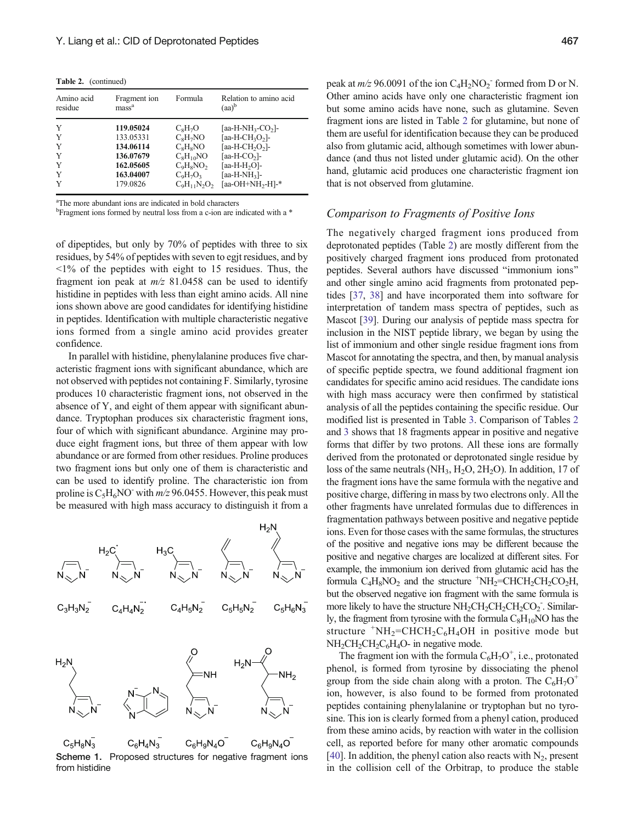<span id="page-4-0"></span>Table 2. (continued)

| Amino acid                 | Fragment ion                                                                           | Formula                                                                                                    | Relation to amino acid                                                                                                                                                                                                  |
|----------------------------|----------------------------------------------------------------------------------------|------------------------------------------------------------------------------------------------------------|-------------------------------------------------------------------------------------------------------------------------------------------------------------------------------------------------------------------------|
| residue                    | mass <sup>a</sup>                                                                      |                                                                                                            | $(aa)^b$                                                                                                                                                                                                                |
| Y<br>Y<br>Y<br>Y<br>Y<br>Y | 119.05024<br>133.05331<br>134.06114<br>136.07679<br>162.05605<br>163.04007<br>179.0826 | $C_8H_7O$<br>$C_8H_7NO$<br>$C_8H_8NO$<br>$C_8H_{10}NO$<br>$C_9H_8NO_2$<br>$C_9H_7O_3$<br>$C_9H_{11}N_2O_2$ | [aa-H-NH <sub>3</sub> -CO <sub>2</sub> ]-<br>[aa-H-C $H_3O_2$ ]-<br>[aa-H-CH <sub>2</sub> O <sub>2</sub> ]-<br>[aa-H-CO <sub>2</sub> ]-<br>[aa-H-H <sub>2</sub> O]-<br>[aa-H-N $H_3$ ]-<br>[aa-OH+NH <sub>2</sub> -H]-* |

a The more abundant ions are indicated in bold characters

<sup>b</sup>Fragment ions formed by neutral loss from a c-ion are indicated with a \*

of dipeptides, but only by 70% of peptides with three to six residues, by 54% of peptides with seven to egit residues, and by  $\leq$ 1% of the peptides with eight to 15 residues. Thus, the fragment ion peak at  $m/z$  81.0458 can be used to identify histidine in peptides with less than eight amino acids. All nine ions shown above are good candidates for identifying histidine in peptides. Identification with multiple characteristic negative ions formed from a single amino acid provides greater confidence.

In parallel with histidine, phenylalanine produces five characteristic fragment ions with significant abundance, which are not observed with peptides not containing F. Similarly, tyrosine produces 10 characteristic fragment ions, not observed in the absence of Y, and eight of them appear with significant abundance. Tryptophan produces six characteristic fragment ions, four of which with significant abundance. Arginine may produce eight fragment ions, but three of them appear with low abundance or are formed from other residues. Proline produces two fragment ions but only one of them is characteristic and can be used to identify proline. The characteristic ion from proline is  $C_5H_6NO^-$  with  $m/z$  96.0455. However, this peak must be measured with high mass accuracy to distinguish it from a



Scheme 1. Proposed structures for negative fragment ions from histidine

peak at  $m/z$  96.0091 of the ion  $C_4H_2NO_2$ <sup>-</sup> formed from D or N. Other amino acids have only one characteristic fragment ion but some amino acids have none, such as glutamine. Seven fragment ions are listed in Table [2](#page-3-0) for glutamine, but none of them are useful for identification because they can be produced also from glutamic acid, although sometimes with lower abundance (and thus not listed under glutamic acid). On the other hand, glutamic acid produces one characteristic fragment ion that is not observed from glutamine.

#### Comparison to Fragments of Positive Ions

The negatively charged fragment ions produced from deprotonated peptides (Table [2\)](#page-3-0) are mostly different from the positively charged fragment ions produced from protonated peptides. Several authors have discussed "immonium ions" and other single amino acid fragments from protonated peptides [\[37,](#page-6-0) [38](#page-6-0)] and have incorporated them into software for interpretation of tandem mass spectra of peptides, such as Mascot [[39\]](#page-6-0). During our analysis of peptide mass spectra for inclusion in the NIST peptide library, we began by using the list of immonium and other single residue fragment ions from Mascot for annotating the spectra, and then, by manual analysis of specific peptide spectra, we found additional fragment ion candidates for specific amino acid residues. The candidate ions with high mass accuracy were then confirmed by statistical analysis of all the peptides containing the specific residue. Our modified list is presented in Table [3.](#page-5-0) Comparison of Tables [2](#page-3-0) and [3](#page-5-0) shows that 18 fragments appear in positive and negative forms that differ by two protons. All these ions are formally derived from the protonated or deprotonated single residue by loss of the same neutrals (NH<sub>3</sub>, H<sub>2</sub>O, 2H<sub>2</sub>O). In addition, 17 of the fragment ions have the same formula with the negative and positive charge, differing in mass by two electrons only. All the other fragments have unrelated formulas due to differences in fragmentation pathways between positive and negative peptide ions. Even for those cases with the same formulas, the structures of the positive and negative ions may be different because the positive and negative charges are localized at different sites. For example, the immonium ion derived from glutamic acid has the formula  $C_4H_8NO_2$  and the structure  $\Delta H_2=CHCH_2CH_2CO_2H$ , but the observed negative ion fragment with the same formula is more likely to have the structure  $NH_2CH_2CH_2CH_2CO_2$ . Similarly, the fragment from tyrosine with the formula  $C_8H_{10}NO$  has the structure  $+NH_2=CHCH_2C_6H_4OH$  in positive mode but  $NH<sub>2</sub>CH<sub>2</sub>CH<sub>2</sub>C<sub>6</sub>H<sub>4</sub>O-$  in negative mode.

The fragment ion with the formula  $C_6H_7O^+$ , i.e., protonated phenol, is formed from tyrosine by dissociating the phenol group from the side chain along with a proton. The  $C_6H_7O^+$ ion, however, is also found to be formed from protonated peptides containing phenylalanine or tryptophan but no tyrosine. This ion is clearly formed from a phenyl cation, produced from these amino acids, by reaction with water in the collision cell, as reported before for many other aromatic compounds [\[40\]](#page-6-0). In addition, the phenyl cation also reacts with  $N_2$ , present in the collision cell of the Orbitrap, to produce the stable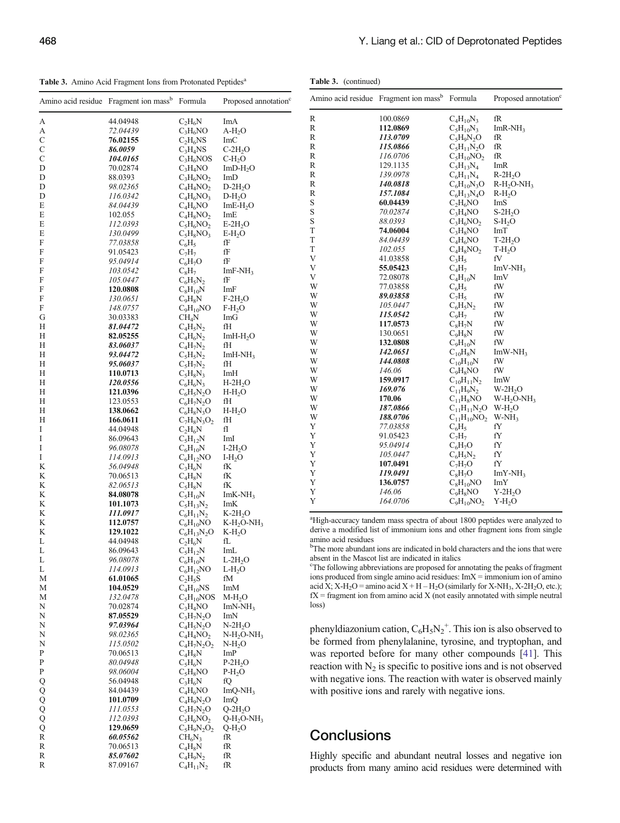<span id="page-5-0"></span>Table 3. Amino Acid Fragment Ions from Protonated Peptides<sup>a</sup>

Table 3. (continued)

|                                  | Amino acid residue Fragment ion mass <sup>b</sup> | Formula                               | Proposed annotation <sup>c</sup> |
|----------------------------------|---------------------------------------------------|---------------------------------------|----------------------------------|
| А                                | 44.04948                                          | $C_2H_6N$                             | ImA                              |
| А                                | 72.04439                                          | $C_3H_6NO$                            | $A-H2O$                          |
| $\mathcal{C}$                    | 76.02155                                          | $C_2H_6NS$                            | ImC                              |
| С<br>С                           | 86.0059<br>104.0165                               | $C_3H_4NS$<br>$C_3H_6NOS$             | $C-2H2O$<br>$C-H2O$              |
| D                                | 70.02874                                          | $C_3H_4NO$                            | $ImD-H2O$                        |
| D                                | 88.0393                                           | $C_3H_6NO_2$                          | ImD                              |
| D                                | 98.02365                                          | $C_4H_4NO_2$                          | $D-2H_2O$                        |
| D                                | 116.0342                                          | $C_4H_6NO_3$                          | $D-H_2O$                         |
| E<br>E                           | 84.04439                                          | $C_4H_6NO$                            | $ImE-H2O$                        |
| E                                | 102.055<br>112.0393                               | $C_4H_8NO_2$<br>$C_5H_6NO_2$          | ImE<br>$E-2H2O$                  |
| E                                | 130.0499                                          | $C_5H_8NO_3$                          | $E-H2O$                          |
| F                                | 77.03858                                          | $C_6H_5$                              | fF                               |
| F                                | 91.05423                                          | $C_7H_7$                              | fF                               |
| F                                | 95.04914                                          | $C_6H_7O$                             | fF                               |
| F<br>F                           | 103.0542<br>105.0447                              | $C_8H_7$<br>$C_6H_5N_2$               | $ImF-NH_3$<br>fF                 |
| F                                | 120.0808                                          | $\rm{C_8H_{10}N}$                     | ImF                              |
| F                                | 130.0651                                          | $C_9H_8N$                             | $F-2H_2O$                        |
| F                                | 148.0757                                          | $C_9H_{10}NO$                         | $F-H2O$                          |
| G                                | 30.03383                                          | $\rm CH_4N$                           | ImG                              |
| Н                                | 81.04472                                          | $C_4H_5N_2$                           | fН                               |
| Н<br>Н                           | 82.05255<br>83.06037                              | $C_4H_6N_2$<br>$C_4H_7N_2$            | $ImH-H2O$<br>fH                  |
| Н                                | 93.04472                                          | $C_5H_5N_2$                           | $ImH-NH3$                        |
| Н                                | 95.06037                                          | $C_5H_7N_2$                           | fH                               |
| Н                                | 110.0713                                          | $C_5H_8N_3$                           | ImH                              |
| Н                                | 120.0556                                          | $C_6H_6N_3$                           | $H-2H_2O$                        |
| Н                                | 121.0396                                          | $C_6H_5N_2O$                          | $H - H2O$                        |
| Н<br>Н                           | 123.0553<br>138.0662                              | $C_6H_7N_2O$<br>$C_6H_8N_3O$          | fH<br>$H - H2O$                  |
| Н                                | 166.0611                                          | $C_7H_8N_3O_2$                        | fH                               |
| I                                | 44.04948                                          | $C_2H_6N$                             | fI                               |
| I                                | 86.09643                                          | $C_5H_{12}N$                          | ImI                              |
| I                                | 96.08078                                          | $\rm{C_6H_{10}N}$                     | $I-2H2O$                         |
| I<br>K                           | 114.0913<br>56.04948                              | $C_6H_{12}NO$<br>$C_3H_6N$            | $I-H2O$<br>fК                    |
| K                                | 70.06513                                          | $C_4H_8N$                             | fК                               |
| K                                | 82.06513                                          | $\rm{C_5H_8N}$                        | fК                               |
| K                                | 84.08078                                          | $C_5H_{10}N$                          | $ImK-NH3$                        |
| K                                | 101.1073                                          | $C_5H_{13}N_2$                        | ImK                              |
| K<br>K                           | 111.0917                                          | $C_6H_{11}N_2$                        | $K-2H_2O$                        |
| K                                | 112.0757<br>129.1022                              | $\rm{C_6H_{10}NO}$<br>$C_6H_{13}N_2O$ | $K-H_2O-NH_3$<br>$K-H2O$         |
| L                                | 44.04948                                          | $\rm{C_2H_6N}$                        | fL                               |
| L                                | 86.09643                                          | $C_5H_{12}N$                          | ImL                              |
| L                                | 96.08078                                          | $C_6H_{10}N$                          | $L-2H_2O$                        |
| L<br>М                           | 114.0913<br>61.01065                              | $C_6H_{12}NO$<br>$C_2H_5S$            | $L-H2O$<br>fM                    |
| M                                | 104.0529                                          | $C_4H_{10}NS$                         | ImM                              |
| М                                | 132.0478                                          | $C_5H_{10}NOS$                        | $M-H2O$                          |
| N                                | 70.02874                                          | $C_3H_4NO$                            | $ImN-NH_3$                       |
| N                                | 87.05529                                          | $C_3H_7N_2O$                          | ImN                              |
| N                                | 97.03964                                          | $C_4H_5N_2O$                          | $N-2H_2O$                        |
| Ν<br>N                           | 98.02365<br>115.0502                              | $C_4H_4NO_2$<br>$C_4H_7N_2O_2$        | $N-H_2O-NH_3$<br>$N-H2O$         |
| P                                | 70.06513                                          | $C_4H_8N$                             | ImP                              |
| P                                | 80.04948                                          | $C_5H_6N$                             | $P-2H_2O$                        |
| P                                | 98.06004                                          | $C_5H_8NO$                            | $P-H2O$                          |
| Q                                | 56.04948                                          | $C_3H_6N$                             | fQ                               |
| $\overline{Q}$                   | 84.04439                                          | $C_4H_6NO$                            | $ImQ-NH_3$                       |
| $\overline{Q}$<br>$\overline{Q}$ | 101.0709<br>111.0553                              | $C_4H_9N_2O$<br>$C_5H_7N_2O$          | ImQ<br>$Q-2H_2O$                 |
| $\tilde{Q}$                      | 112.0393                                          | $C_5H_6NO_2$                          | $Q-H_2O-NH_3$                    |
| ${\bf Q}$                        | 129.0659                                          | $C_5H_9N_2O_2$                        | $Q-H_2O$                         |
| R                                | 60.05562                                          | $CH_6N_3$                             | fR                               |
| R                                | 70.06513                                          | $C_4H_8N$                             | fR                               |
| R<br>R                           | 85.07602<br>87.09167                              | $C_4H_9N_2$<br>$C_4H_{11}N_2$         | fR<br>fR                         |
|                                  |                                                   |                                       |                                  |

| Amino acid residue | Fragment ion mass <sup>b</sup> | Formula            | Proposed annotation <sup>c</sup> |
|--------------------|--------------------------------|--------------------|----------------------------------|
| R                  | 100.0869                       | $C_4H_{10}N_3$     | fR                               |
| R                  | 112.0869                       | $C_{5}H_{10}N_{3}$ | $ImR-NH_3$                       |
| R                  | 113.0709                       | $C_5H_9N_2O$       | fR                               |
| R                  | 115.0866                       | $C_5H_{11}N_2O$    | fR                               |
| R                  | 116.0706                       | $C_5H_{10}NO_2$    | fR                               |
| R                  | 129.1135                       | $C_{5}H_{13}N_{4}$ | ImR                              |
| R                  | 139.0978                       | $C_6H_{11}N_4$     | $R-2H2O$                         |
| R                  | 140.0818                       | $C_6H_{10}N_3O$    | $R-H2O-NH3$                      |
| R                  | 157.1084                       | $C_6H_{13}N_4O$    | $R-H2O$                          |
| S                  | 60.04439                       | $C_2H_6NO$         | ImS                              |
| S                  | 70.02874                       | $C_3H_4NO$         | $S-2H2O$                         |
| S                  | 88.0393                        | $C_3H_6NO_2$       | $S-H2O$                          |
| T                  | 74.06004                       | $C_3H_8NO$         | ImT                              |
| T                  | 84.04439                       | $C_4H_6NO$         | $T-2H2O$                         |
| T                  | 102.055                        | $C_4H_8NO_2$       | $T-H_2O$                         |
| V                  | 41.03858                       | $C_3H_5$           | fV                               |
| V                  | 55.05423                       | $C_4H_7$           | $ImV-NH_3$                       |
| V                  | 72.08078                       | $C_4H_{10}N$       | ImV                              |
| W                  | 77.03858                       | $C_6H_5$           | fW                               |
| W                  | 89.03858                       | $C_7H_5$           | fW                               |
| W                  | 105.0447                       | $C_6H_5N_2$        | fW                               |
| W                  | 115.0542                       | $C_9H_7$           | fW                               |
| W                  | 117.0573                       | $C_8H_7N$          | fW                               |
| W                  | 130.0651                       | $C_9H_8N$          | fW                               |
| W                  | 132.0808                       | $C_9H_{10}N$       | fW                               |
| W                  | 142.0651                       | $C_{10}H_8N$       | $ImW-NH_3$                       |
| W                  | 144.0808                       | $C_{10}H_{10}N$    | fW                               |
| W                  | 146.06                         | $C_9H_8NO$         | fW                               |
| W                  | 159.0917                       | $C_{10}H_{11}N_2$  | ImW                              |
| W                  | 169.076                        | $C_{11}H_9N_2$     | $W-2H2O$                         |
| W                  | 170.06                         | $C_{11}H_8NO$      | $W-H_2O-NH_3$                    |
| W                  | 187.0866                       | $C_{11}H_{11}N_2O$ | $W-H2O$                          |
| W                  | 188.0706                       | $C_{11}H_{10}NO_2$ | $W-NH_3$                         |
| Y                  | 77.03858                       | $C_6H_5$           | fY                               |
| Y                  | 91.05423                       | $C_7H_7$           | fY                               |
| Y                  | 95.04914                       | $C_6H_7O$          | fY                               |
| Y                  | 105.0447                       | $C_6H_5N_2$        | fY                               |
| Y                  | 107.0491                       | $C_7H_7O$          | fY                               |
| Y                  | 119.0491                       | $C_8H_7O$          | $ImY-NH_3$                       |
| Y                  | 136.0757                       | $C_8H_{10}NO$      | ImY                              |
| Y                  | 146.06                         | $C_9H_8NO$         | $Y-2H2O$                         |
| Y                  | 164.0706                       | $C_9H_{10}NO_2$    | $Y-H2O$                          |

<sup>a</sup>High-accuracy tandem mass spectra of about 1800 peptides were analyzed to derive a modified list of immonium ions and other fragment ions from single

amino acid residues b The more abundant ions are indicated in bold characters and the ions that were absent in the Mascot list are indicated in italics

<sup>c</sup>The following abbreviations are proposed for annotating the peaks of fragment ions produced from single amino acid residues: ImX = immonium ion of amino acid X; X-H<sub>2</sub>O = amino acid X + H – H<sub>2</sub>O (similarly for X-NH<sub>3</sub>, X-2H<sub>2</sub>O, etc.);  $fX =$  fragment ion from amino acid  $X$  (not easily annotated with simple neutral loss)

phenyldiazonium cation,  $C_6H_5N_2^+$ . This ion is also observed to be formed from phenylalanine, tyrosine, and tryptophan, and was reported before for many other compounds [[41\]](#page-6-0). This reaction with  $N_2$  is specific to positive ions and is not observed with negative ions. The reaction with water is observed mainly with positive ions and rarely with negative ions.

## **Conclusions**

Highly specific and abundant neutral losses and negative ion products from many amino acid residues were determined with